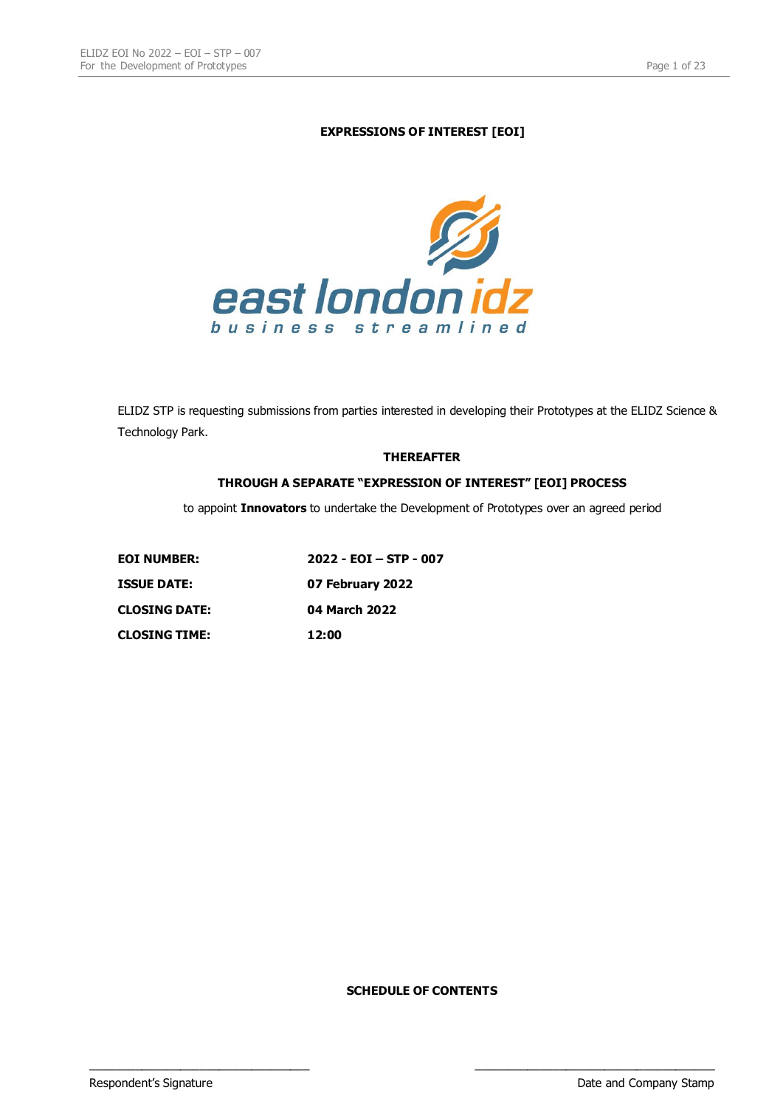# **EXPRESSIONS OF INTEREST [EOI]**



ELIDZ STP is requesting submissions from parties interested in developing their Prototypes at the ELIDZ Science & Technology Park.

### **THEREAFTER**

## **THROUGH A SEPARATE "EXPRESSION OF INTEREST" [EOI] PROCESS**

to appoint **Innovators** to undertake the Development of Prototypes over an agreed period

| <b>EOI NUMBER:</b>   | $2022 - EOI - STP - 007$ |
|----------------------|--------------------------|
| <b>ISSUE DATE:</b>   | 07 February 2022         |
| <b>CLOSING DATE:</b> | 04 March 2022            |
| <b>CLOSING TIME:</b> | 12:00                    |

**SCHEDULE OF CONTENTS**

\_\_\_\_\_\_\_\_\_\_\_\_\_\_\_\_\_\_\_\_\_\_\_\_\_\_\_\_\_\_\_\_\_\_ \_\_\_\_\_\_\_\_\_\_\_\_\_\_\_\_\_\_\_\_\_\_\_\_\_\_\_\_\_\_\_\_\_\_\_\_\_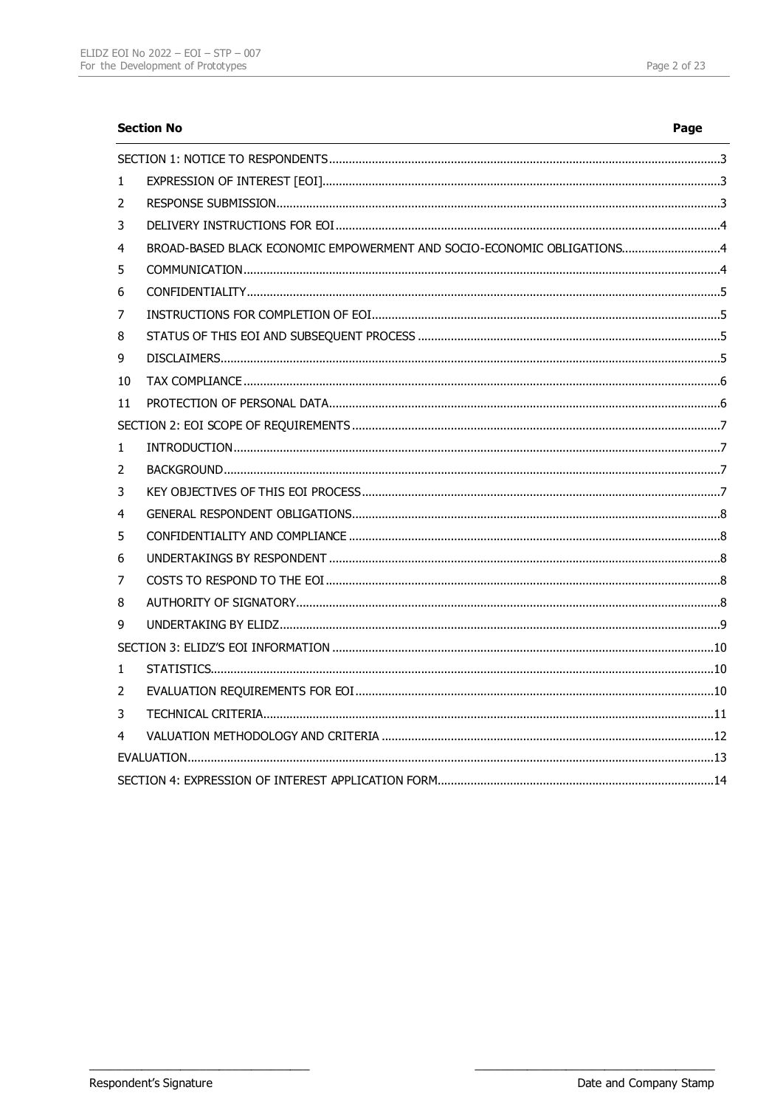|    | <b>Section No</b>                                                      | Page |
|----|------------------------------------------------------------------------|------|
|    |                                                                        |      |
| 1  |                                                                        |      |
| 2  |                                                                        |      |
| 3  |                                                                        |      |
| 4  | BROAD-BASED BLACK ECONOMIC EMPOWERMENT AND SOCIO-ECONOMIC OBLIGATIONS4 |      |
| 5  |                                                                        |      |
| 6  |                                                                        |      |
| 7  |                                                                        |      |
| 8  |                                                                        |      |
| 9  |                                                                        |      |
| 10 |                                                                        |      |
| 11 |                                                                        |      |
|    |                                                                        |      |
| 1  |                                                                        |      |
| 2  |                                                                        |      |
| 3  |                                                                        |      |
| 4  |                                                                        |      |
| 5  |                                                                        |      |
| 6  |                                                                        |      |
| 7  |                                                                        |      |
| 8  |                                                                        |      |
| 9  |                                                                        |      |
|    |                                                                        |      |
| 1  |                                                                        |      |
| 2  |                                                                        |      |
| 3  |                                                                        |      |
| 4  |                                                                        |      |
|    |                                                                        |      |
|    |                                                                        |      |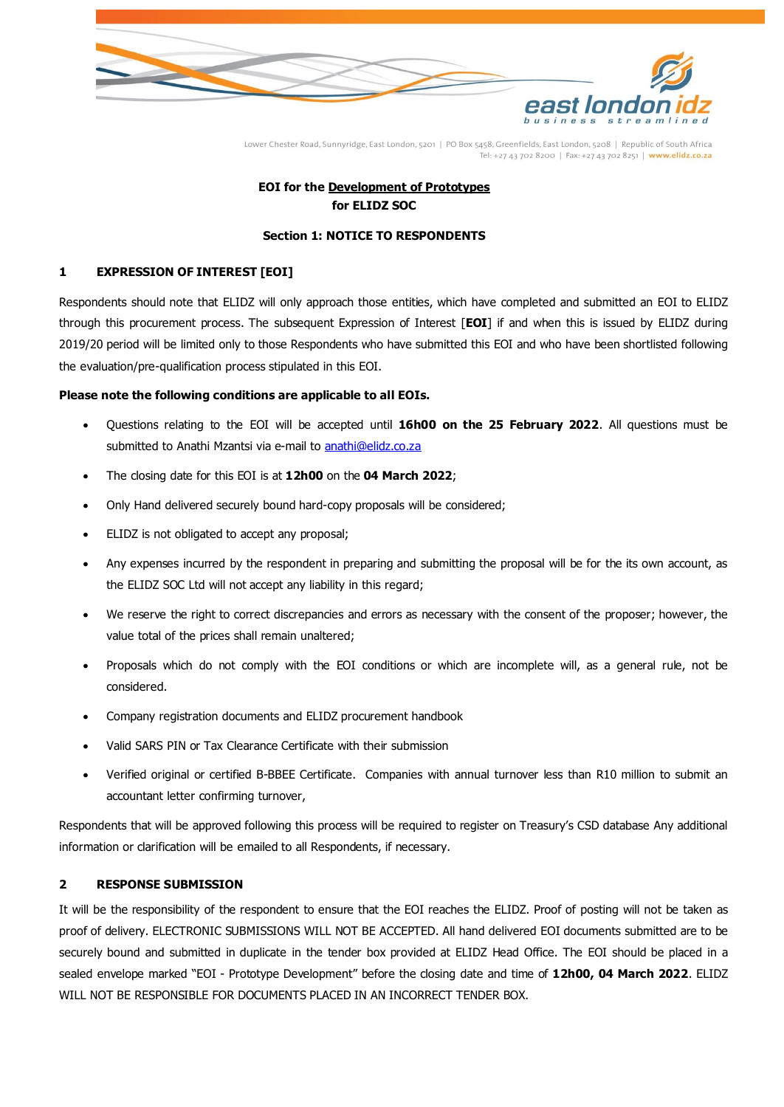

# **EOI for the Development of Prototypes for ELIDZ SOC**

## **Section 1: NOTICE TO RESPONDENTS**

## <span id="page-2-1"></span><span id="page-2-0"></span>**1 EXPRESSION OF INTEREST [EOI]**

Respondents should note that ELIDZ will only approach those entities, which have completed and submitted an EOI to ELIDZ through this procurement process. The subsequent Expression of Interest [**EOI**] if and when this is issued by ELIDZ during 2019/20 period will be limited only to those Respondents who have submitted this EOI and who have been shortlisted following the evaluation/pre-qualification process stipulated in this EOI.

## **Please note the following conditions are applicable to all EOIs.**

- Questions relating to the EOI will be accepted until **16h00 on the 25 February 2022**. All questions must be submitted to Anathi Mzantsi via e-mail t[o anathi@elidz.co.za](mailto:anathi@elidz.co.za)
- The closing date for this EOI is at **12h00** on the **04 March 2022**;
- Only Hand delivered securely bound hard-copy proposals will be considered;
- ELIDZ is not obligated to accept any proposal;
- Any expenses incurred by the respondent in preparing and submitting the proposal will be for the its own account, as the ELIDZ SOC Ltd will not accept any liability in this regard;
- We reserve the right to correct discrepancies and errors as necessary with the consent of the proposer; however, the value total of the prices shall remain unaltered;
- Proposals which do not comply with the EOI conditions or which are incomplete will, as a general rule, not be considered.
- Company registration documents and ELIDZ procurement handbook
- Valid SARS PIN or Tax Clearance Certificate with their submission
- Verified original or certified B-BBEE Certificate. Companies with annual turnover less than R10 million to submit an accountant letter confirming turnover,

Respondents that will be approved following this process will be required to register on Treasury's CSD database Any additional information or clarification will be emailed to all Respondents, if necessary.

# <span id="page-2-2"></span>**2 RESPONSE SUBMISSION**

It will be the responsibility of the respondent to ensure that the EOI reaches the ELIDZ. Proof of posting will not be taken as proof of delivery. ELECTRONIC SUBMISSIONS WILL NOT BE ACCEPTED. All hand delivered EOI documents submitted are to be securely bound and submitted in duplicate in the tender box provided at ELIDZ Head Office. The EOI should be placed in a sealed envelope marked "EOI - Prototype Development" before the closing date and time of **12h00, 04 March 2022**. ELIDZ WILL NOT BE RESPONSIBLE FOR DOCUMENTS PLACED IN AN INCORRECT TENDER BOX.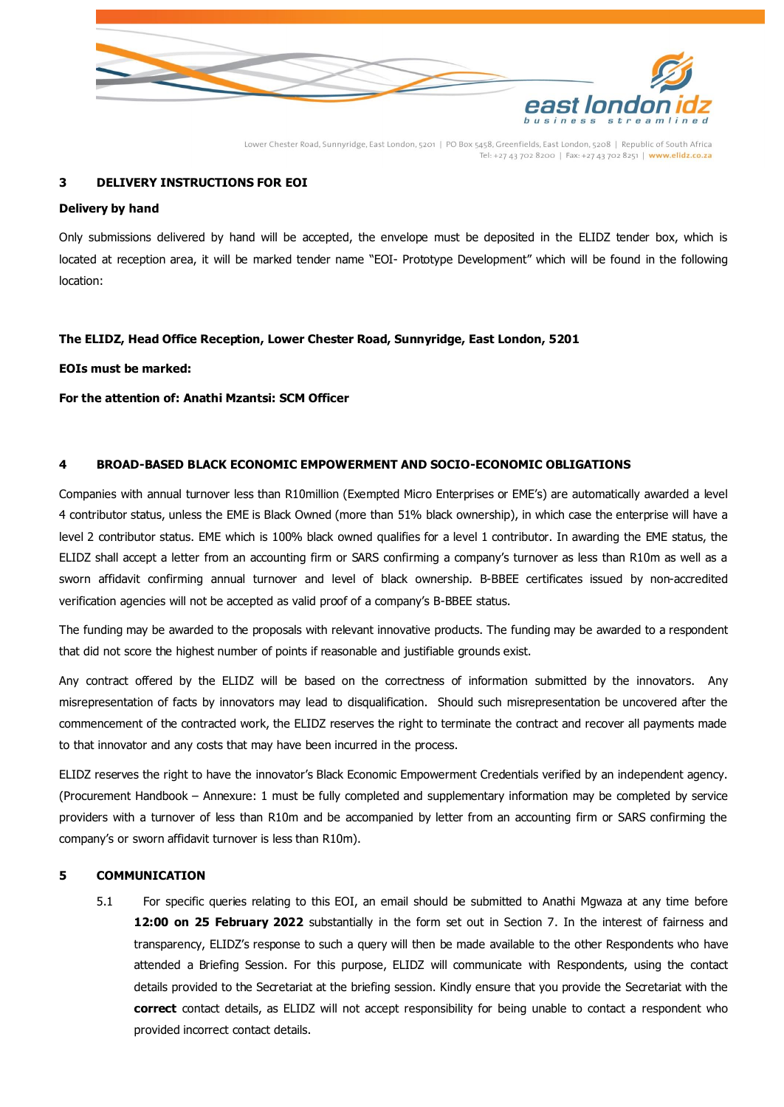

## <span id="page-3-0"></span>**3 DELIVERY INSTRUCTIONS FOR EOI**

#### **Delivery by hand**

Only submissions delivered by hand will be accepted, the envelope must be deposited in the ELIDZ tender box, which is located at reception area, it will be marked tender name "EOI- Prototype Development" which will be found in the following location:

#### **The ELIDZ, Head Office Reception, Lower Chester Road, Sunnyridge, East London, 5201**

**EOIs must be marked:**

**For the attention of: Anathi Mzantsi: SCM Officer**

#### <span id="page-3-1"></span>**4 BROAD-BASED BLACK ECONOMIC EMPOWERMENT AND SOCIO-ECONOMIC OBLIGATIONS**

Companies with annual turnover less than R10million (Exempted Micro Enterprises or EME's) are automatically awarded a level 4 contributor status, unless the EME is Black Owned (more than 51% black ownership), in which case the enterprise will have a level 2 contributor status. EME which is 100% black owned qualifies for a level 1 contributor. In awarding the EME status, the ELIDZ shall accept a letter from an accounting firm or SARS confirming a company's turnover as less than R10m as well as a sworn affidavit confirming annual turnover and level of black ownership. B-BBEE certificates issued by non-accredited verification agencies will not be accepted as valid proof of a company's B-BBEE status.

The funding may be awarded to the proposals with relevant innovative products. The funding may be awarded to a respondent that did not score the highest number of points if reasonable and justifiable grounds exist.

Any contract offered by the ELIDZ will be based on the correctness of information submitted by the innovators. Any misrepresentation of facts by innovators may lead to disqualification. Should such misrepresentation be uncovered after the commencement of the contracted work, the ELIDZ reserves the right to terminate the contract and recover all payments made to that innovator and any costs that may have been incurred in the process.

ELIDZ reserves the right to have the innovator's Black Economic Empowerment Credentials verified by an independent agency. (Procurement Handbook – Annexure: 1 must be fully completed and supplementary information may be completed by service providers with a turnover of less than R10m and be accompanied by letter from an accounting firm or SARS confirming the company's or sworn affidavit turnover is less than R10m).

#### <span id="page-3-2"></span>**5 COMMUNICATION**

5.1 For specific queries relating to this EOI, an email should be submitted to Anathi Mgwaza at any time before **12:00 on 25 February 2022** substantially in the form set out in Section 7. In the interest of fairness and transparency, ELIDZ's response to such a query will then be made available to the other Respondents who have attended a Briefing Session. For this purpose, ELIDZ will communicate with Respondents, using the contact details provided to the Secretariat at the briefing session. Kindly ensure that you provide the Secretariat with the **correct** contact details, as ELIDZ will not accept responsibility for being unable to contact a respondent who provided incorrect contact details.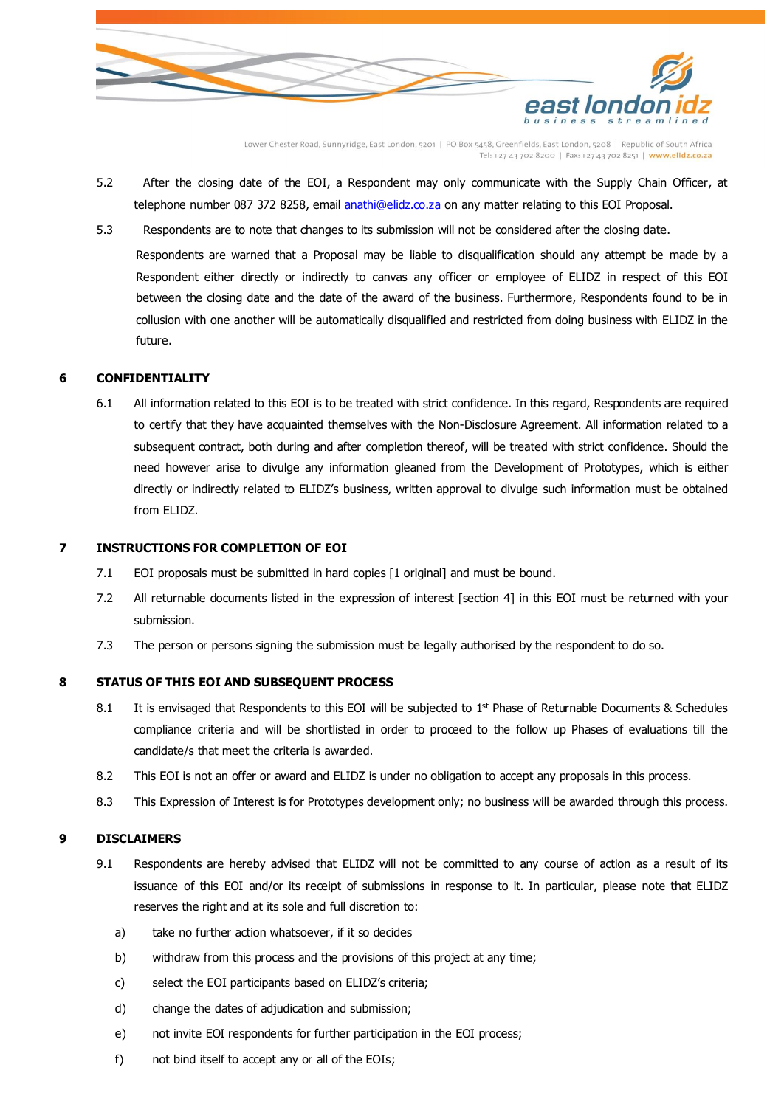

- 5.2 After the closing date of the EOI, a Respondent may only communicate with the Supply Chain Officer, at telephone number 087 372 8258, email [anathi@elidz.co.za](mailto:anathi@elidz.co.za) on any matter relating to this EOI Proposal.
- 5.3 Respondents are to note that changes to its submission will not be considered after the closing date.

Respondents are warned that a Proposal may be liable to disqualification should any attempt be made by a Respondent either directly or indirectly to canvas any officer or employee of ELIDZ in respect of this EOI between the closing date and the date of the award of the business. Furthermore, Respondents found to be in collusion with one another will be automatically disqualified and restricted from doing business with ELIDZ in the future.

#### <span id="page-4-0"></span>**6 CONFIDENTIALITY**

6.1 All information related to this EOI is to be treated with strict confidence. In this regard, Respondents are required to certify that they have acquainted themselves with the Non-Disclosure Agreement. All information related to a subsequent contract, both during and after completion thereof, will be treated with strict confidence. Should the need however arise to divulge any information gleaned from the Development of Prototypes, which is either directly or indirectly related to ELIDZ's business, written approval to divulge such information must be obtained from ELIDZ.

#### <span id="page-4-1"></span>**7 INSTRUCTIONS FOR COMPLETION OF EOI**

- 7.1 EOI proposals must be submitted in hard copies [1 original] and must be bound.
- 7.2 All returnable documents listed in the expression of interest [section 4] in this EOI must be returned with your submission.
- 7.3 The person or persons signing the submission must be legally authorised by the respondent to do so.

#### <span id="page-4-2"></span>**8 STATUS OF THIS EOI AND SUBSEQUENT PROCESS**

- 8.1 It is envisaged that Respondents to this EOI will be subjected to 1<sup>st</sup> Phase of Returnable Documents & Schedules compliance criteria and will be shortlisted in order to proceed to the follow up Phases of evaluations till the candidate/s that meet the criteria is awarded.
- 8.2 This EOI is not an offer or award and ELIDZ is under no obligation to accept any proposals in this process.
- 8.3 This Expression of Interest is for Prototypes development only; no business will be awarded through this process.

#### <span id="page-4-3"></span>**9 DISCLAIMERS**

- 9.1 Respondents are hereby advised that ELIDZ will not be committed to any course of action as a result of its issuance of this EOI and/or its receipt of submissions in response to it. In particular, please note that ELIDZ reserves the right and at its sole and full discretion to:
	- a) take no further action whatsoever, if it so decides
	- b) withdraw from this process and the provisions of this project at any time;
	- c) select the EOI participants based on ELIDZ's criteria;
	- d) change the dates of adjudication and submission;
	- e) not invite EOI respondents for further participation in the EOI process;
	- f) not bind itself to accept any or all of the EOIs;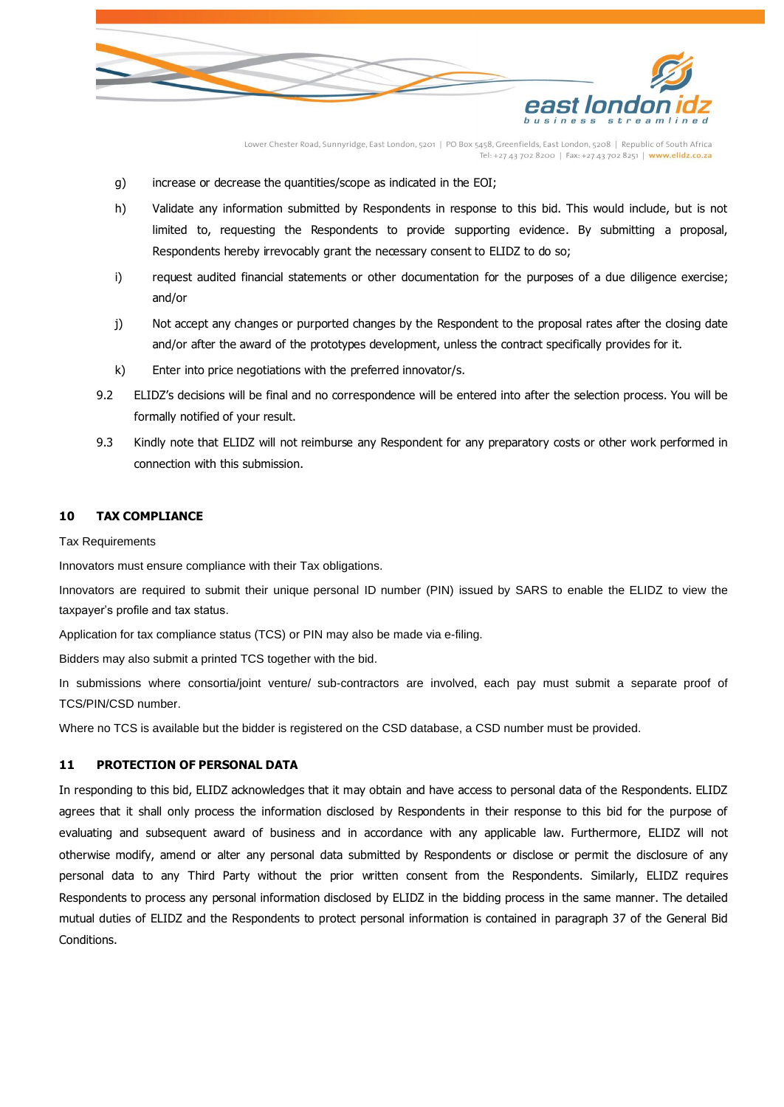

- g) increase or decrease the quantities/scope as indicated in the EOI;
- h) Validate any information submitted by Respondents in response to this bid. This would include, but is not limited to, requesting the Respondents to provide supporting evidence. By submitting a proposal, Respondents hereby irrevocably grant the necessary consent to ELIDZ to do so;
- i) request audited financial statements or other documentation for the purposes of a due diligence exercise; and/or
- j) Not accept any changes or purported changes by the Respondent to the proposal rates after the closing date and/or after the award of the prototypes development, unless the contract specifically provides for it.
- k) Enter into price negotiations with the preferred innovator/s.
- 9.2 ELIDZ's decisions will be final and no correspondence will be entered into after the selection process. You will be formally notified of your result.
- 9.3 Kindly note that ELIDZ will not reimburse any Respondent for any preparatory costs or other work performed in connection with this submission.

#### <span id="page-5-0"></span>**10 TAX COMPLIANCE**

Tax Requirements

Innovators must ensure compliance with their Tax obligations.

Innovators are required to submit their unique personal ID number (PIN) issued by SARS to enable the ELIDZ to view the taxpayer's profile and tax status.

Application for tax compliance status (TCS) or PIN may also be made via e-filing.

Bidders may also submit a printed TCS together with the bid.

In submissions where consortia/joint venture/ sub-contractors are involved, each pay must submit a separate proof of TCS/PIN/CSD number.

Where no TCS is available but the bidder is registered on the CSD database, a CSD number must be provided.

# <span id="page-5-1"></span>**11 PROTECTION OF PERSONAL DATA**

In responding to this bid, ELIDZ acknowledges that it may obtain and have access to personal data of the Respondents. ELIDZ agrees that it shall only process the information disclosed by Respondents in their response to this bid for the purpose of evaluating and subsequent award of business and in accordance with any applicable law. Furthermore, ELIDZ will not otherwise modify, amend or alter any personal data submitted by Respondents or disclose or permit the disclosure of any personal data to any Third Party without the prior written consent from the Respondents. Similarly, ELIDZ requires Respondents to process any personal information disclosed by ELIDZ in the bidding process in the same manner. The detailed mutual duties of ELIDZ and the Respondents to protect personal information is contained in paragraph 37 of the General Bid Conditions.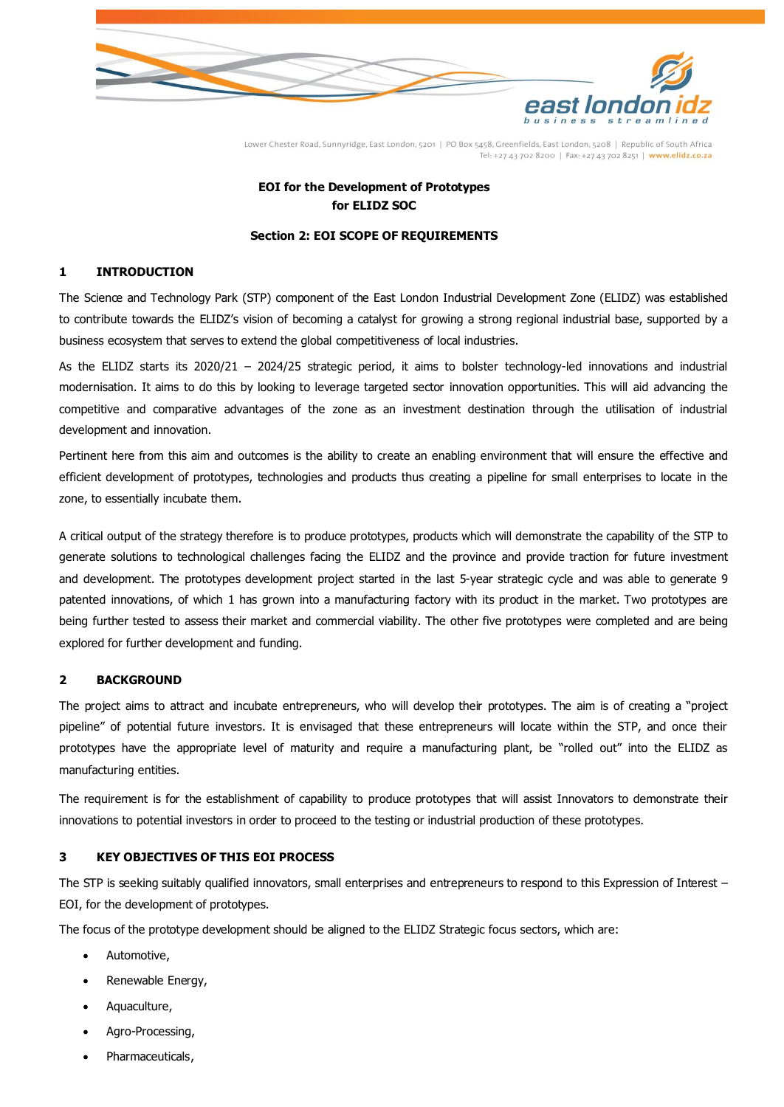

# **EOI for the Development of Prototypes for ELIDZ SOC**

#### **Section 2: EOI SCOPE OF REQUIREMENTS**

#### <span id="page-6-1"></span><span id="page-6-0"></span>**1 INTRODUCTION**

The Science and Technology Park (STP) component of the East London Industrial Development Zone (ELIDZ) was established to contribute towards the ELIDZ's vision of becoming a catalyst for growing a strong regional industrial base, supported by a business ecosystem that serves to extend the global competitiveness of local industries.

As the ELIDZ starts its 2020/21 – 2024/25 strategic period, it aims to bolster technology-led innovations and industrial modernisation. It aims to do this by looking to leverage targeted sector innovation opportunities. This will aid advancing the competitive and comparative advantages of the zone as an investment destination through the utilisation of industrial development and innovation.

Pertinent here from this aim and outcomes is the ability to create an enabling environment that will ensure the effective and efficient development of prototypes, technologies and products thus creating a pipeline for small enterprises to locate in the zone, to essentially incubate them.

A critical output of the strategy therefore is to produce prototypes, products which will demonstrate the capability of the STP to generate solutions to technological challenges facing the ELIDZ and the province and provide traction for future investment and development. The prototypes development project started in the last 5-year strategic cycle and was able to generate 9 patented innovations, of which 1 has grown into a manufacturing factory with its product in the market. Two prototypes are being further tested to assess their market and commercial viability. The other five prototypes were completed and are being explored for further development and funding.

## <span id="page-6-2"></span>**2 BACKGROUND**

The project aims to attract and incubate entrepreneurs, who will develop their prototypes. The aim is of creating a "project pipeline" of potential future investors. It is envisaged that these entrepreneurs will locate within the STP, and once their prototypes have the appropriate level of maturity and require a manufacturing plant, be "rolled out" into the ELIDZ as manufacturing entities.

The requirement is for the establishment of capability to produce prototypes that will assist Innovators to demonstrate their innovations to potential investors in order to proceed to the testing or industrial production of these prototypes.

# <span id="page-6-3"></span>**3 KEY OBJECTIVES OF THIS EOI PROCESS**

The STP is seeking suitably qualified innovators, small enterprises and entrepreneurs to respond to this Expression of Interest -EOI, for the development of prototypes.

The focus of the prototype development should be aligned to the ELIDZ Strategic focus sectors, which are:

- Automotive,
- Renewable Energy,
- Aquaculture,
- Agro-Processing,
- Pharmaceuticals,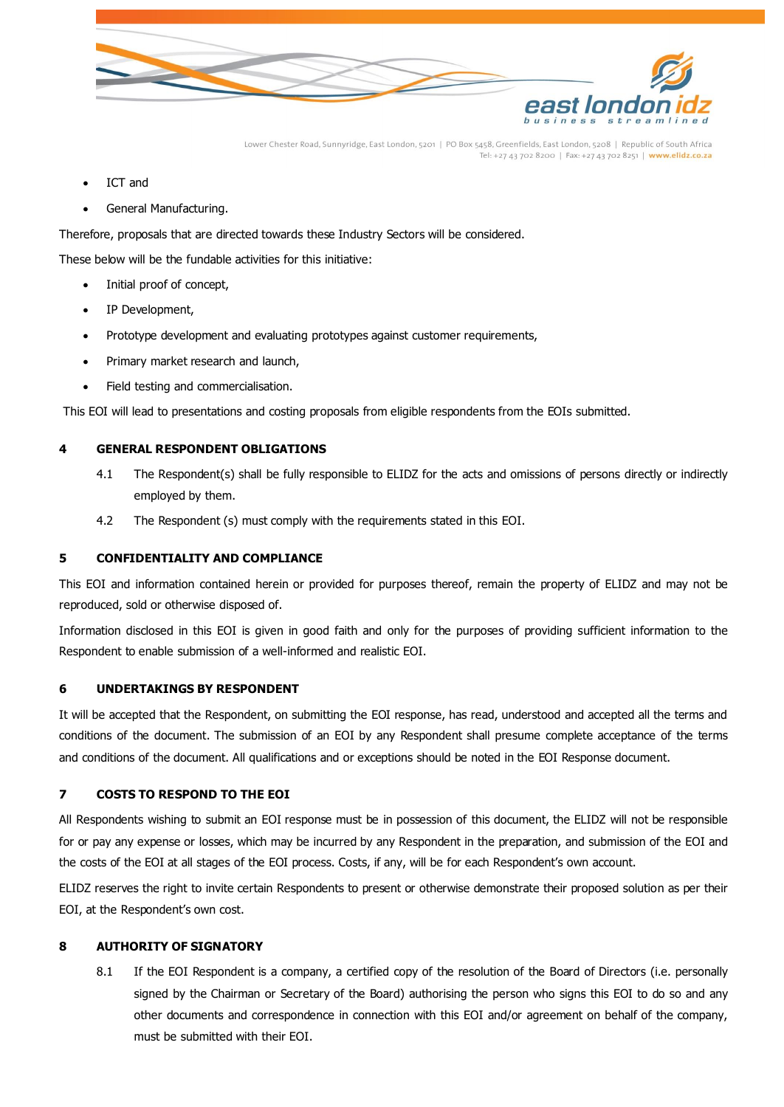

- ICT and
- General Manufacturing.

Therefore, proposals that are directed towards these Industry Sectors will be considered.

These below will be the fundable activities for this initiative:

- Initial proof of concept,
- IP Development,
- Prototype development and evaluating prototypes against customer requirements,
- Primary market research and launch,
- Field testing and commercialisation.

This EOI will lead to presentations and costing proposals from eligible respondents from the EOIs submitted.

#### <span id="page-7-0"></span>**4 GENERAL RESPONDENT OBLIGATIONS**

- 4.1 The Respondent(s) shall be fully responsible to ELIDZ for the acts and omissions of persons directly or indirectly employed by them.
- 4.2 The Respondent (s) must comply with the requirements stated in this EOI.

#### <span id="page-7-1"></span>**5 CONFIDENTIALITY AND COMPLIANCE**

This EOI and information contained herein or provided for purposes thereof, remain the property of ELIDZ and may not be reproduced, sold or otherwise disposed of.

Information disclosed in this EOI is given in good faith and only for the purposes of providing sufficient information to the Respondent to enable submission of a well-informed and realistic EOI.

#### <span id="page-7-2"></span>**6 UNDERTAKINGS BY RESPONDENT**

It will be accepted that the Respondent, on submitting the EOI response, has read, understood and accepted all the terms and conditions of the document. The submission of an EOI by any Respondent shall presume complete acceptance of the terms and conditions of the document. All qualifications and or exceptions should be noted in the EOI Response document.

## <span id="page-7-3"></span>**7 COSTS TO RESPOND TO THE EOI**

All Respondents wishing to submit an EOI response must be in possession of this document, the ELIDZ will not be responsible for or pay any expense or losses, which may be incurred by any Respondent in the preparation, and submission of the EOI and the costs of the EOI at all stages of the EOI process. Costs, if any, will be for each Respondent's own account.

ELIDZ reserves the right to invite certain Respondents to present or otherwise demonstrate their proposed solution as per their EOI, at the Respondent's own cost.

## <span id="page-7-4"></span>**8 AUTHORITY OF SIGNATORY**

8.1 If the EOI Respondent is a company, a certified copy of the resolution of the Board of Directors (i.e. personally signed by the Chairman or Secretary of the Board) authorising the person who signs this EOI to do so and any other documents and correspondence in connection with this EOI and/or agreement on behalf of the company, must be submitted with their EOI.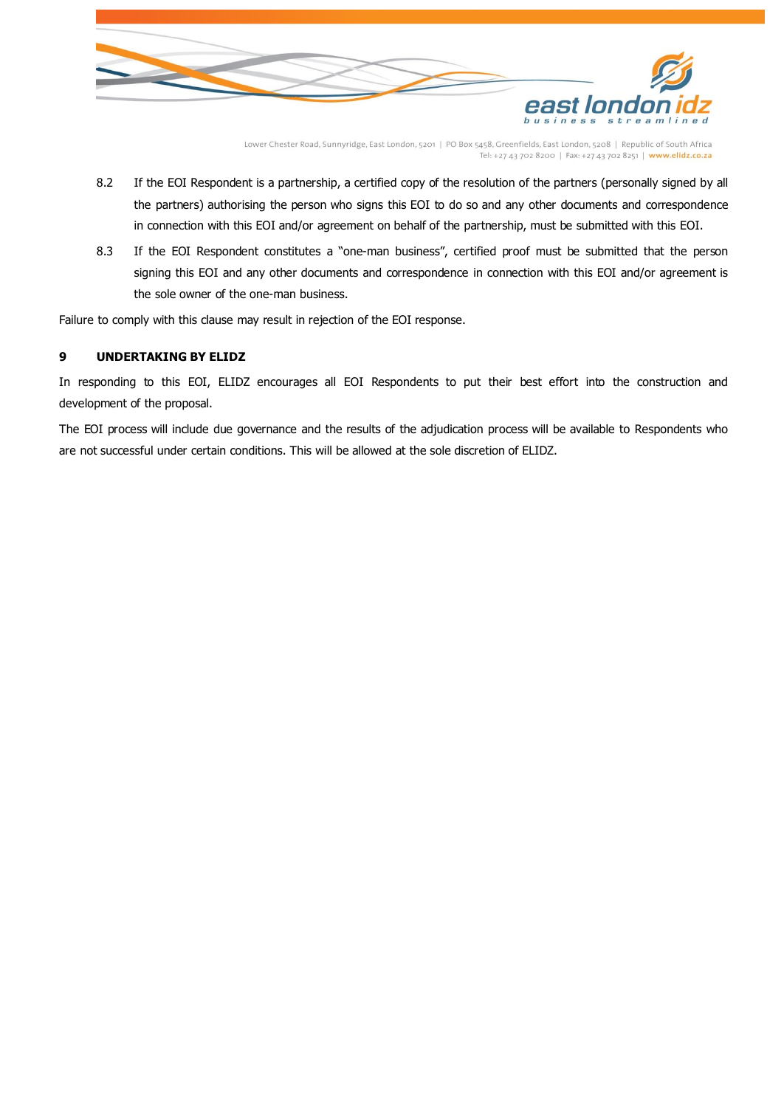

- 8.2 If the EOI Respondent is a partnership, a certified copy of the resolution of the partners (personally signed by all the partners) authorising the person who signs this EOI to do so and any other documents and correspondence in connection with this EOI and/or agreement on behalf of the partnership, must be submitted with this EOI.
- 8.3 If the EOI Respondent constitutes a "one-man business", certified proof must be submitted that the person signing this EOI and any other documents and correspondence in connection with this EOI and/or agreement is the sole owner of the one-man business.

Failure to comply with this clause may result in rejection of the EOI response.

## <span id="page-8-0"></span>**9 UNDERTAKING BY ELIDZ**

In responding to this EOI, ELIDZ encourages all EOI Respondents to put their best effort into the construction and development of the proposal.

The EOI process will include due governance and the results of the adjudication process will be available to Respondents who are not successful under certain conditions. This will be allowed at the sole discretion of ELIDZ.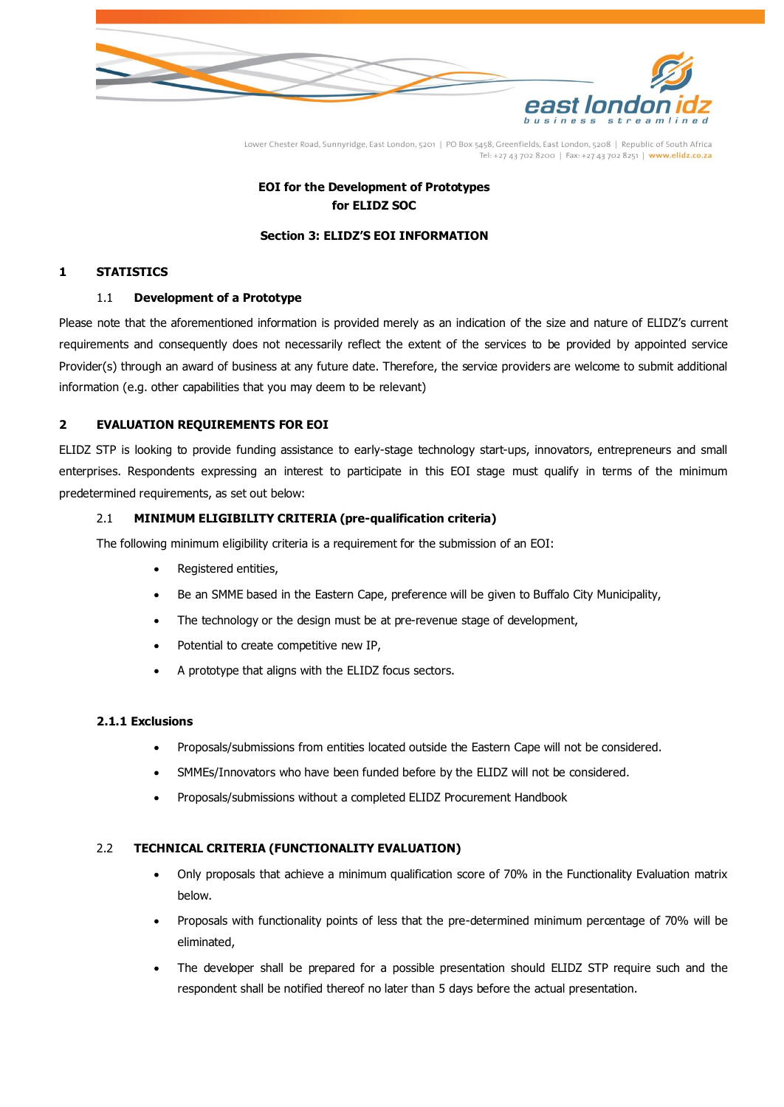

# **EOI for the Development of Prototypes for ELIDZ SOC**

#### **Section 3: ELIDZ'S EOI INFORMATION**

### <span id="page-9-1"></span><span id="page-9-0"></span>**1 STATISTICS**

#### 1.1 **Development of a Prototype**

Please note that the aforementioned information is provided merely as an indication of the size and nature of ELIDZ's current requirements and consequently does not necessarily reflect the extent of the services to be provided by appointed service Provider(s) through an award of business at any future date. Therefore, the service providers are welcome to submit additional information (e.g. other capabilities that you may deem to be relevant)

## <span id="page-9-2"></span>**2 EVALUATION REQUIREMENTS FOR EOI**

ELIDZ STP is looking to provide funding assistance to early-stage technology start-ups, innovators, entrepreneurs and small enterprises. Respondents expressing an interest to participate in this EOI stage must qualify in terms of the minimum predetermined requirements, as set out below:

#### 2.1 **MINIMUM ELIGIBILITY CRITERIA (pre-qualification criteria)**

The following minimum eligibility criteria is a requirement for the submission of an EOI:

- Registered entities,
- Be an SMME based in the Eastern Cape, preference will be given to Buffalo City Municipality,
- The technology or the design must be at pre-revenue stage of development,
- Potential to create competitive new IP,
- A prototype that aligns with the ELIDZ focus sectors.

## **2.1.1 Exclusions**

- Proposals/submissions from entities located outside the Eastern Cape will not be considered.
- SMMEs/Innovators who have been funded before by the ELIDZ will not be considered.
- Proposals/submissions without a completed ELIDZ Procurement Handbook

#### 2.2 **TECHNICAL CRITERIA (FUNCTIONALITY EVALUATION)**

- Only proposals that achieve a minimum qualification score of 70% in the Functionality Evaluation matrix below.
- Proposals with functionality points of less that the pre-determined minimum percentage of 70% will be eliminated,
- The developer shall be prepared for a possible presentation should ELIDZ STP require such and the respondent shall be notified thereof no later than 5 days before the actual presentation.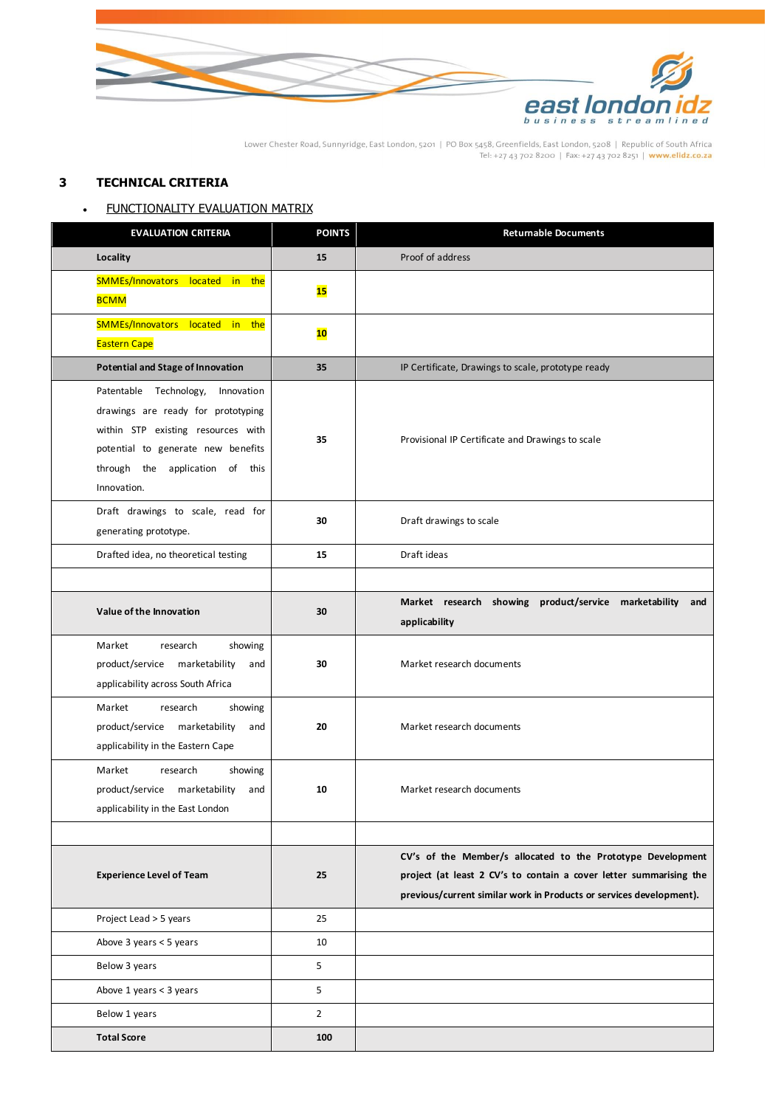

# <span id="page-10-0"></span>**3 TECHNICAL CRITERIA**

# • FUNCTIONALITY EVALUATION MATRIX

| <b>EVALUATION CRITERIA</b>                                                                                                                                                                               | <b>POINTS</b>  | <b>Returnable Documents</b>                                                                                                                                                                              |
|----------------------------------------------------------------------------------------------------------------------------------------------------------------------------------------------------------|----------------|----------------------------------------------------------------------------------------------------------------------------------------------------------------------------------------------------------|
| Locality                                                                                                                                                                                                 | 15             | Proof of address                                                                                                                                                                                         |
| SMMEs/Innovators located in the<br><b>BCMM</b>                                                                                                                                                           | 15             |                                                                                                                                                                                                          |
| SMMEs/Innovators located in the<br><b>Eastern Cape</b>                                                                                                                                                   | 10             |                                                                                                                                                                                                          |
| <b>Potential and Stage of Innovation</b>                                                                                                                                                                 | 35             | IP Certificate, Drawings to scale, prototype ready                                                                                                                                                       |
| Patentable Technology,<br>Innovation<br>drawings are ready for prototyping<br>within STP existing resources with<br>potential to generate new benefits<br>through the application of this<br>Innovation. | 35             | Provisional IP Certificate and Drawings to scale                                                                                                                                                         |
| Draft drawings to scale, read for<br>generating prototype.                                                                                                                                               | 30             | Draft drawings to scale                                                                                                                                                                                  |
| Drafted idea, no theoretical testing                                                                                                                                                                     | 15             | Draft ideas                                                                                                                                                                                              |
|                                                                                                                                                                                                          |                |                                                                                                                                                                                                          |
| Value of the Innovation                                                                                                                                                                                  | 30             | Market research showing product/service marketability<br>and<br>applicability                                                                                                                            |
| Market<br>showing<br>research<br>product/service marketability<br>and<br>applicability across South Africa                                                                                               | 30             | Market research documents                                                                                                                                                                                |
| Market<br>research<br>showing<br>product/service marketability<br>and<br>applicability in the Eastern Cape                                                                                               | 20             | Market research documents                                                                                                                                                                                |
| Market<br>research<br>showing<br>product/service marketability<br>and<br>applicability in the East London                                                                                                | 10             | Market research documents                                                                                                                                                                                |
| <b>Experience Level of Team</b>                                                                                                                                                                          | 25             | CV's of the Member/s allocated to the Prototype Development<br>project (at least 2 CV's to contain a cover letter summarising the<br>previous/current similar work in Products or services development). |
| Project Lead > 5 years                                                                                                                                                                                   | 25             |                                                                                                                                                                                                          |
| Above 3 years < 5 years                                                                                                                                                                                  | 10             |                                                                                                                                                                                                          |
| Below 3 years                                                                                                                                                                                            | 5              |                                                                                                                                                                                                          |
| Above 1 years < 3 years                                                                                                                                                                                  | 5              |                                                                                                                                                                                                          |
| Below 1 years                                                                                                                                                                                            | $\overline{2}$ |                                                                                                                                                                                                          |
| <b>Total Score</b>                                                                                                                                                                                       | 100            |                                                                                                                                                                                                          |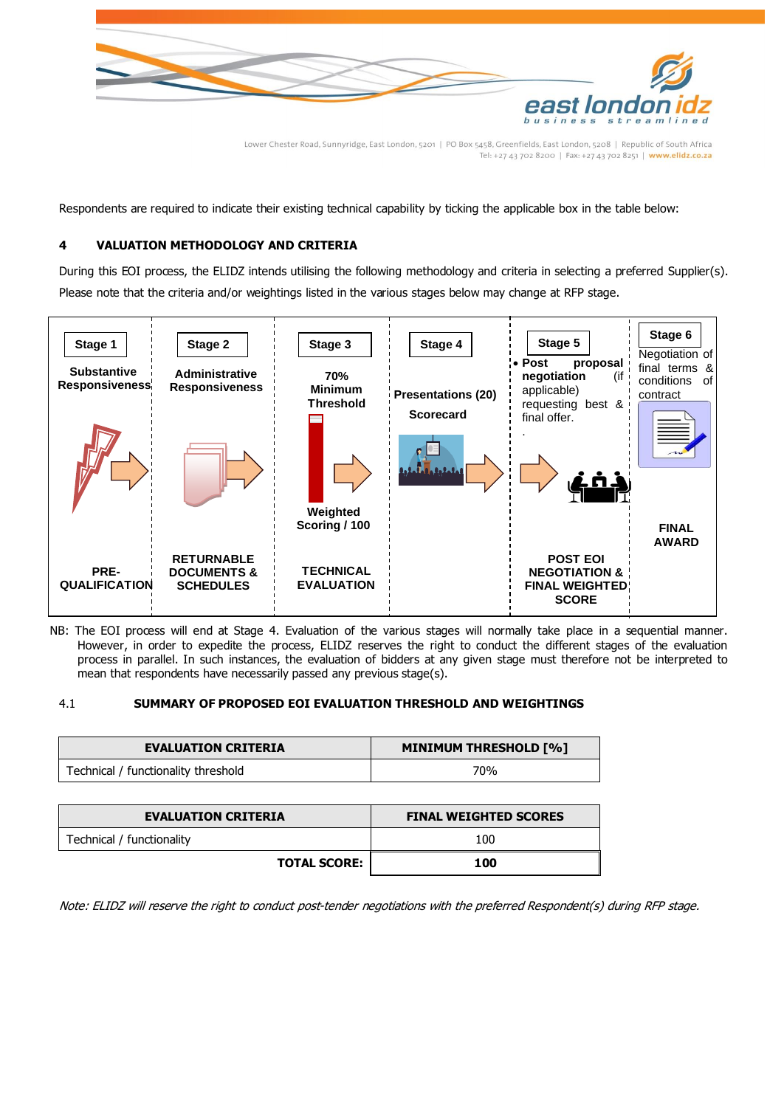

Respondents are required to indicate their existing technical capability by ticking the applicable box in the table below:

## <span id="page-11-0"></span>**4 VALUATION METHODOLOGY AND CRITERIA**

During this EOI process, the ELIDZ intends utilising the following methodology and criteria in selecting a preferred Supplier(s). Please note that the criteria and/or weightings listed in the various stages below may change at RFP stage.



NB: The EOI process will end at Stage 4. Evaluation of the various stages will normally take place in a sequential manner. However, in order to expedite the process, ELIDZ reserves the right to conduct the different stages of the evaluation process in parallel. In such instances, the evaluation of bidders at any given stage must therefore not be interpreted to mean that respondents have necessarily passed any previous stage(s).

#### 4.1 **SUMMARY OF PROPOSED EOI EVALUATION THRESHOLD AND WEIGHTINGS**

| <b>EVALUATION CRITERIA</b>          | <b>MINIMUM THRESHOLD [%]</b> |  |
|-------------------------------------|------------------------------|--|
| Technical / functionality threshold | 70%                          |  |

| <b>EVALUATION CRITERIA</b> | <b>FINAL WEIGHTED SCORES</b> |  |
|----------------------------|------------------------------|--|
| Technical / functionality  | 100                          |  |
| <b>TOTAL SCORE:</b>        | 100                          |  |

Note: ELIDZ will reserve the right to conduct post-tender negotiations with the preferred Respondent(s) during RFP stage.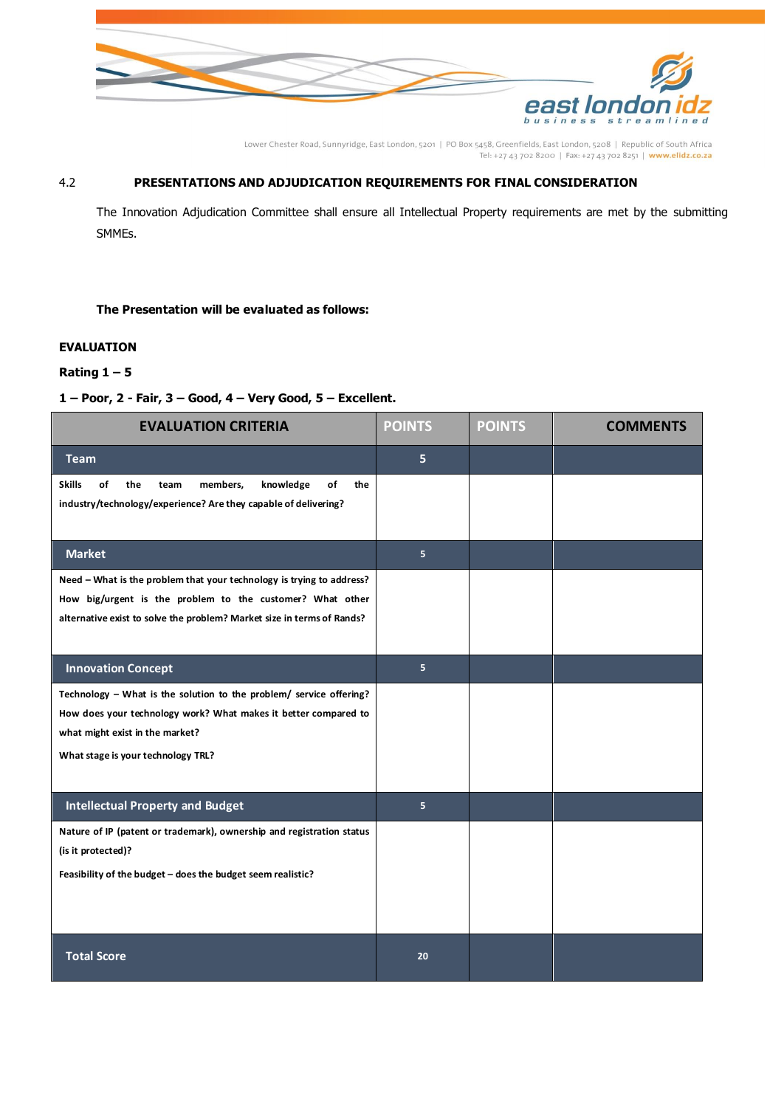

# 4.2 **PRESENTATIONS AND ADJUDICATION REQUIREMENTS FOR FINAL CONSIDERATION**

The Innovation Adjudication Committee shall ensure all Intellectual Property requirements are met by the submitting SMMEs.

#### **The Presentation will be evaluated as follows:**

## <span id="page-12-0"></span>**EVALUATION**

## **Rating 1 – 5**

#### **1 – Poor, 2 - Fair, 3 – Good, 4 – Very Good, 5 – Excellent.**

| <b>EVALUATION CRITERIA</b>                                                                                                                  | <b>POINTS</b>  | <b>POINTS</b> | <b>COMMENTS</b> |
|---------------------------------------------------------------------------------------------------------------------------------------------|----------------|---------------|-----------------|
| <b>Team</b>                                                                                                                                 | 5              |               |                 |
| of<br><b>Skills</b><br>members,<br>knowledge<br>the<br>of<br>the<br>team<br>industry/technology/experience? Are they capable of delivering? |                |               |                 |
|                                                                                                                                             |                |               |                 |
| <b>Market</b>                                                                                                                               | 5 <sup>1</sup> |               |                 |
| Need - What is the problem that your technology is trying to address?                                                                       |                |               |                 |
| How big/urgent is the problem to the customer? What other<br>alternative exist to solve the problem? Market size in terms of Rands?         |                |               |                 |
|                                                                                                                                             |                |               |                 |
| <b>Innovation Concept</b>                                                                                                                   | 5              |               |                 |
| Technology - What is the solution to the problem/ service offering?                                                                         |                |               |                 |
| How does your technology work? What makes it better compared to<br>what might exist in the market?                                          |                |               |                 |
| What stage is your technology TRL?                                                                                                          |                |               |                 |
|                                                                                                                                             |                |               |                 |
| <b>Intellectual Property and Budget</b>                                                                                                     | 5              |               |                 |
| Nature of IP (patent or trademark), ownership and registration status                                                                       |                |               |                 |
| (is it protected)?                                                                                                                          |                |               |                 |
| Feasibility of the budget - does the budget seem realistic?                                                                                 |                |               |                 |
|                                                                                                                                             |                |               |                 |
| <b>Total Score</b>                                                                                                                          | 20             |               |                 |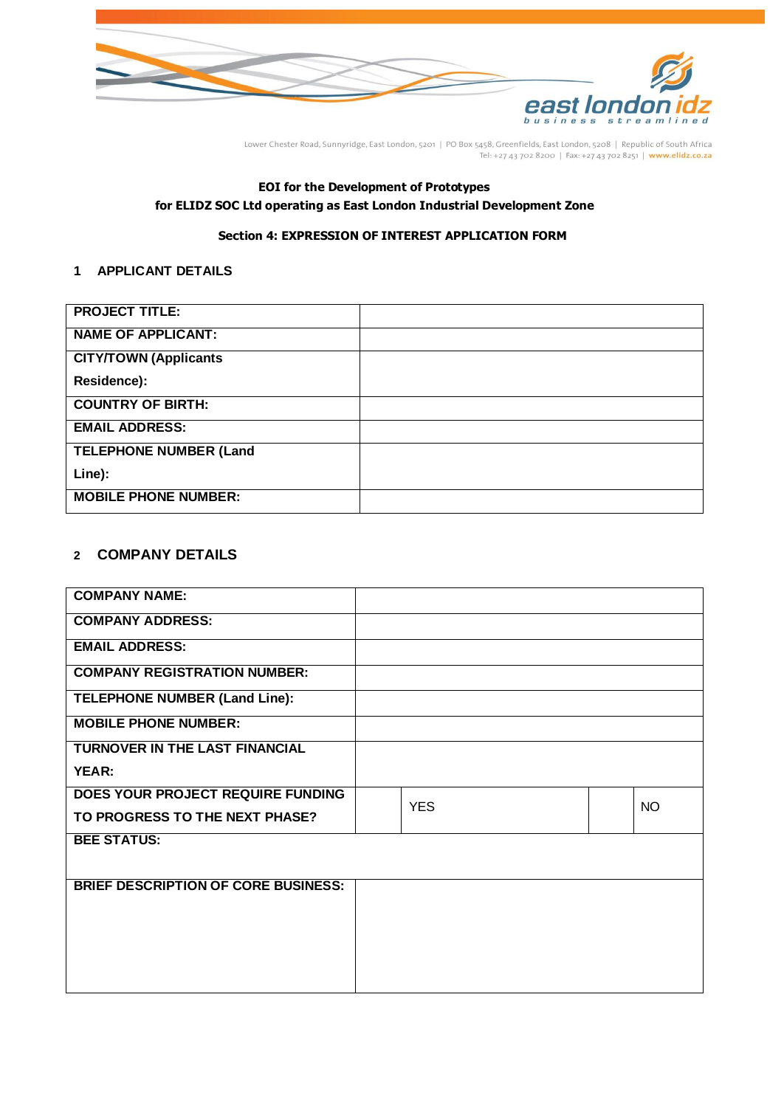

# **EOI for the Development of Prototypes for ELIDZ SOC Ltd operating as East London Industrial Development Zone**

# **Section 4: EXPRESSION OF INTEREST APPLICATION FORM**

# <span id="page-13-0"></span>**1 APPLICANT DETAILS**

| <b>PROJECT TITLE:</b>         |  |
|-------------------------------|--|
| <b>NAME OF APPLICANT:</b>     |  |
| <b>CITY/TOWN (Applicants</b>  |  |
| Residence):                   |  |
| <b>COUNTRY OF BIRTH:</b>      |  |
| <b>EMAIL ADDRESS:</b>         |  |
| <b>TELEPHONE NUMBER (Land</b> |  |
| Line):                        |  |
| <b>MOBILE PHONE NUMBER:</b>   |  |

# **2 COMPANY DETAILS**

| <b>COMPANY NAME:</b>                       |            |  |           |
|--------------------------------------------|------------|--|-----------|
| <b>COMPANY ADDRESS:</b>                    |            |  |           |
| <b>EMAIL ADDRESS:</b>                      |            |  |           |
| <b>COMPANY REGISTRATION NUMBER:</b>        |            |  |           |
| TELEPHONE NUMBER (Land Line):              |            |  |           |
| <b>MOBILE PHONE NUMBER:</b>                |            |  |           |
| TURNOVER IN THE LAST FINANCIAL             |            |  |           |
| YEAR:                                      |            |  |           |
| DOES YOUR PROJECT REQUIRE FUNDING          | <b>YES</b> |  | <b>NO</b> |
| TO PROGRESS TO THE NEXT PHASE?             |            |  |           |
| <b>BEE STATUS:</b>                         |            |  |           |
| <b>BRIEF DESCRIPTION OF CORE BUSINESS:</b> |            |  |           |
|                                            |            |  |           |
|                                            |            |  |           |
|                                            |            |  |           |
|                                            |            |  |           |
|                                            |            |  |           |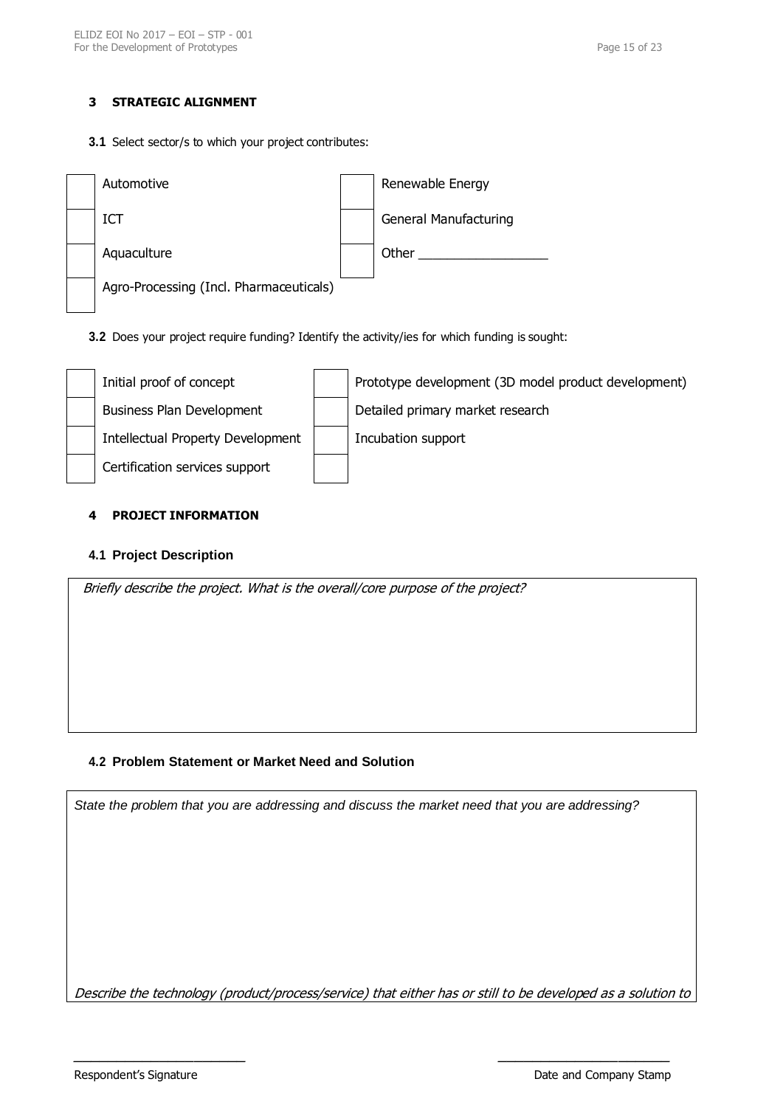# **3 STRATEGIC ALIGNMENT**

**3.1** Select sector/s to which your project contributes:

| Automotive                              | Renewable Energy             |
|-----------------------------------------|------------------------------|
| ICT                                     | <b>General Manufacturing</b> |
| Aquaculture                             | Other                        |
| Agro-Processing (Incl. Pharmaceuticals) |                              |

**3.2** Does your project require funding? Identify the activity/ies for which funding is sought:



## **4 PROJECT INFORMATION**

# **4.1 Project Description**



# **4.2 Problem Statement or Market Need and Solution**

*State the problem that you are addressing and discuss the market need that you are addressing?*

Describe the technology (product/process/service) that either has or still to be developed as a solution to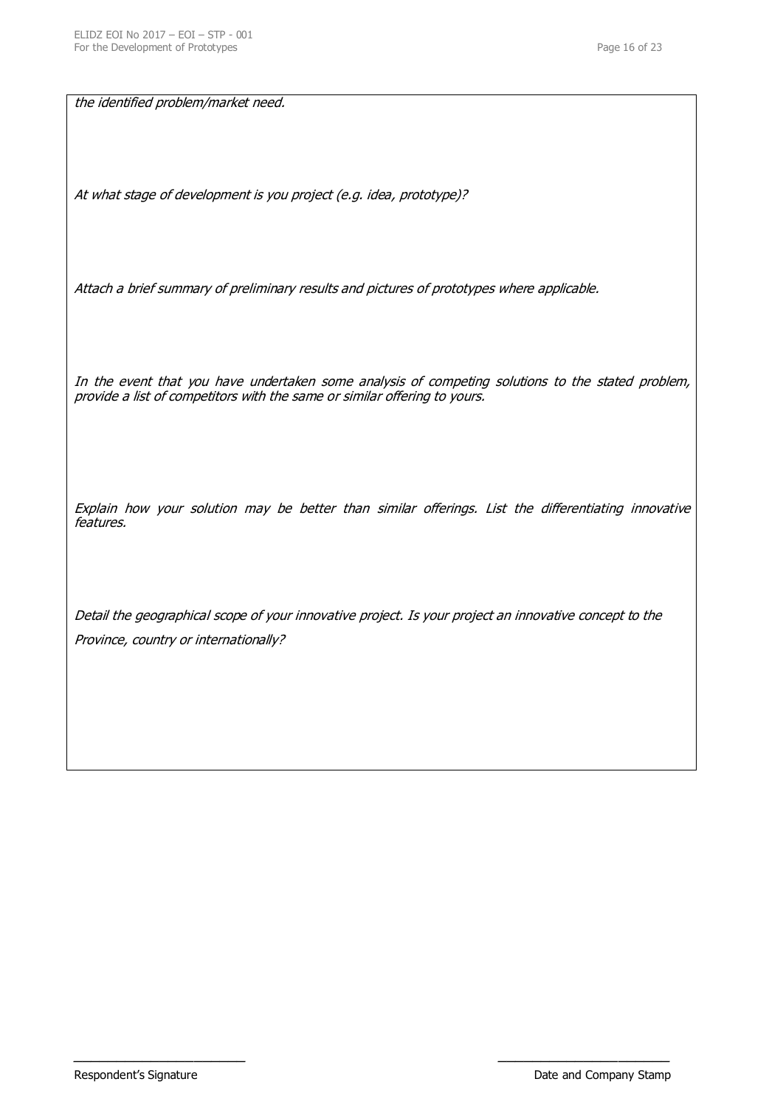the identified problem/market need.

At what stage of development is you project (e.g. idea, prototype)?

Attach a brief summary of preliminary results and pictures of prototypes where applicable.

In the event that you have undertaken some analysis of competing solutions to the stated problem, provide a list of competitors with the same or similar offering to yours.

Explain how your solution may be better than similar offerings. List the differentiating innovative features.

Detail the geographical scope of your innovative project. Is your project an innovative concept to the Province, country or internationally?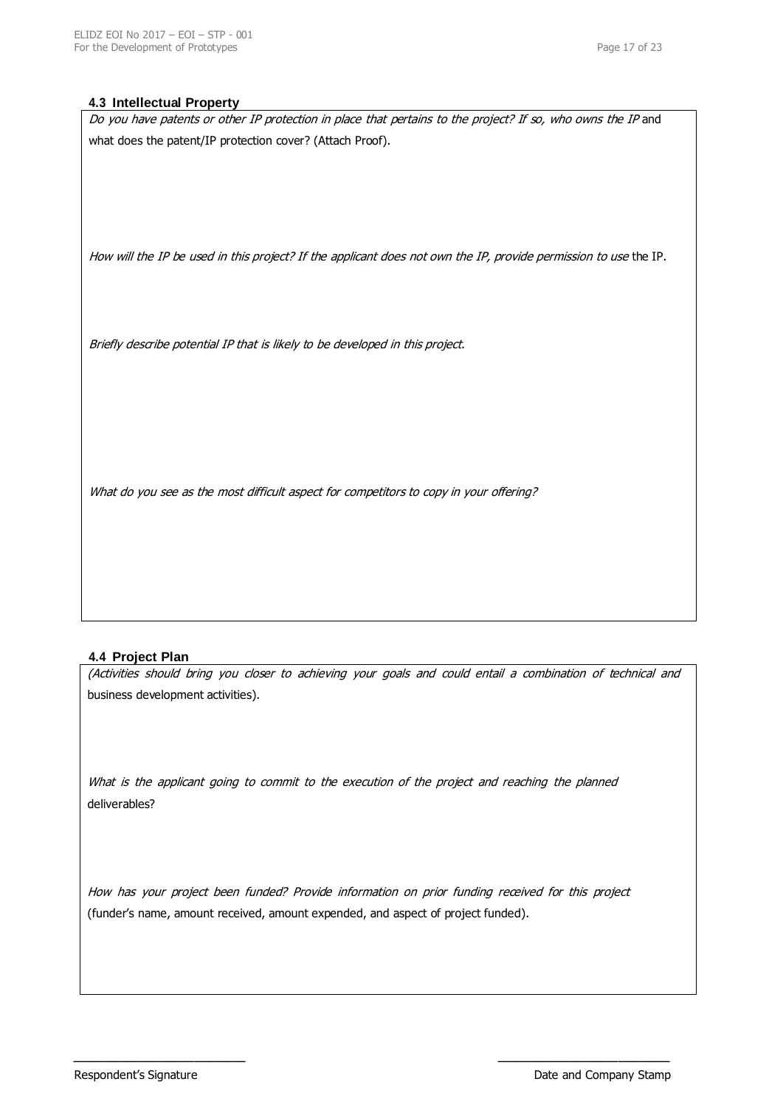#### **4.3 Intellectual Property**

| Do you have patents or other IP protection in place that pertains to the project? If so, who owns the IP and     |
|------------------------------------------------------------------------------------------------------------------|
| what does the patent/IP protection cover? (Attach Proof).                                                        |
|                                                                                                                  |
|                                                                                                                  |
|                                                                                                                  |
|                                                                                                                  |
|                                                                                                                  |
| How will the IP be used in this project? If the applicant does not own the IP, provide permission to use the IP. |
|                                                                                                                  |
|                                                                                                                  |
|                                                                                                                  |
| Briefly describe potential IP that is likely to be developed in this project.                                    |
|                                                                                                                  |
|                                                                                                                  |
|                                                                                                                  |
|                                                                                                                  |
|                                                                                                                  |
|                                                                                                                  |
| What do you see as the most difficult aspect for competitors to copy in your offering?                           |
|                                                                                                                  |
|                                                                                                                  |

## **4.4 Project Plan**

(Activities should bring you closer to achieving your goals and could entail a combination of technical and business development activities).

What is the applicant going to commit to the execution of the project and reaching the planned deliverables?

How has your project been funded? Provide information on prior funding received for this project (funder's name, amount received, amount expended, and aspect of project funded).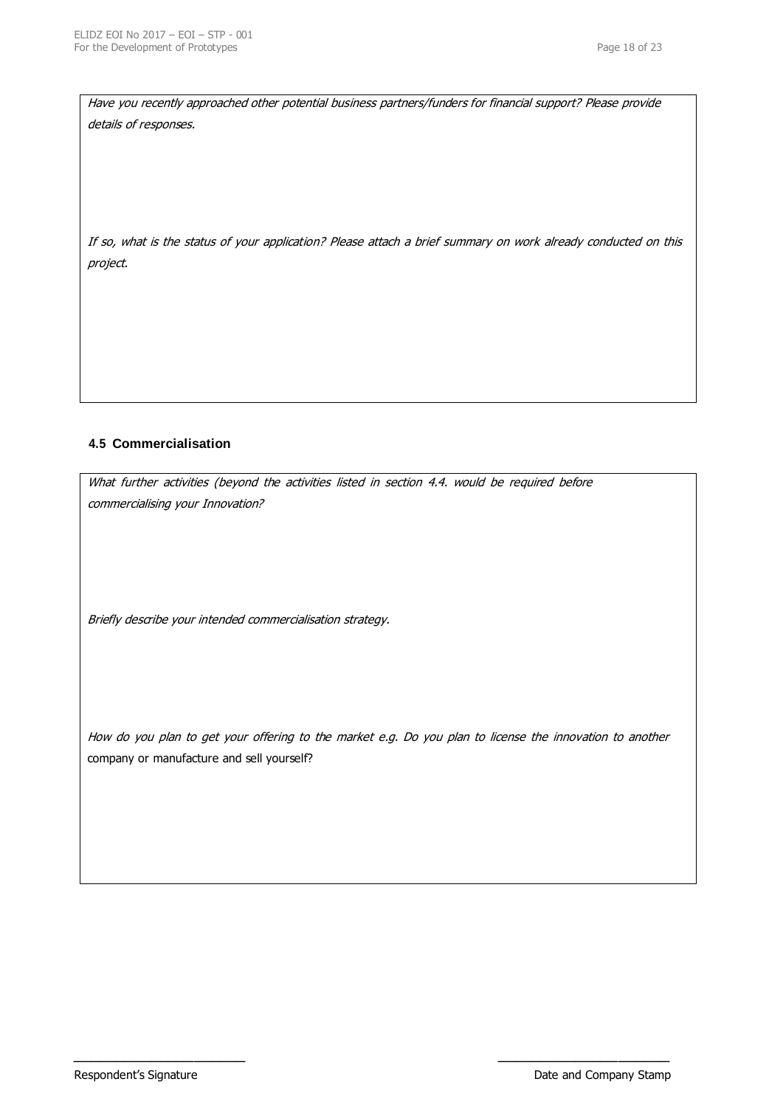Have you recently approached other potential business partners/funders for financial support? Please provide details of responses.

If so, what is the status of your application? Please attach a brief summary on work already conducted on this project.

# **4.5 Commercialisation**

What further activities (beyond the activities listed in section 4.4. would be required before commercialising your Innovation?

Briefly describe your intended commercialisation strategy.

How do you plan to get your offering to the market e.g. Do you plan to license the innovation to another company or manufacture and sell yourself?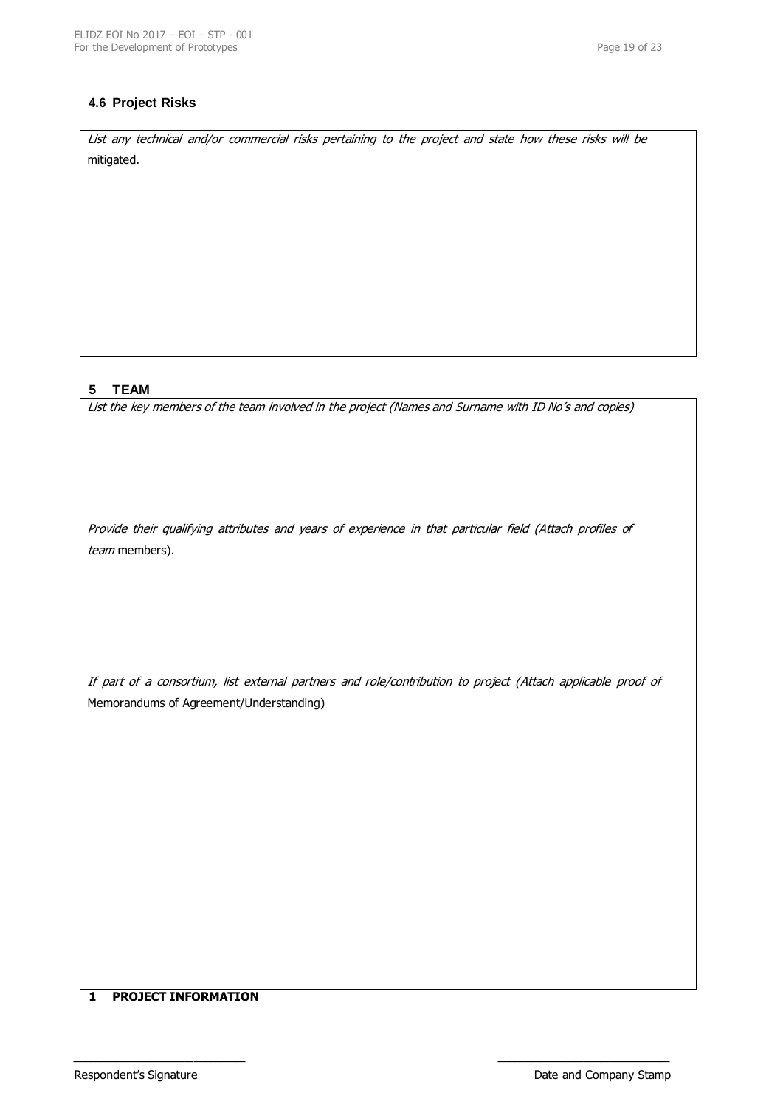# **4.6 Project Risks**

List any technical and/or commercial risks pertaining to the project and state how these risks will be mitigated.

# **5 TEAM**

List the key members of the team involved in the project (Names and Surname with ID No's and copies)

Provide their qualifying attributes and years of experience in that particular field (Attach profiles of team members).

If part of a consortium, list external partners and role/contribution to project (Attach applicable proof of Memorandums of Agreement/Understanding)

 $\blacksquare$ 

## **1 PROJECT INFORMATION**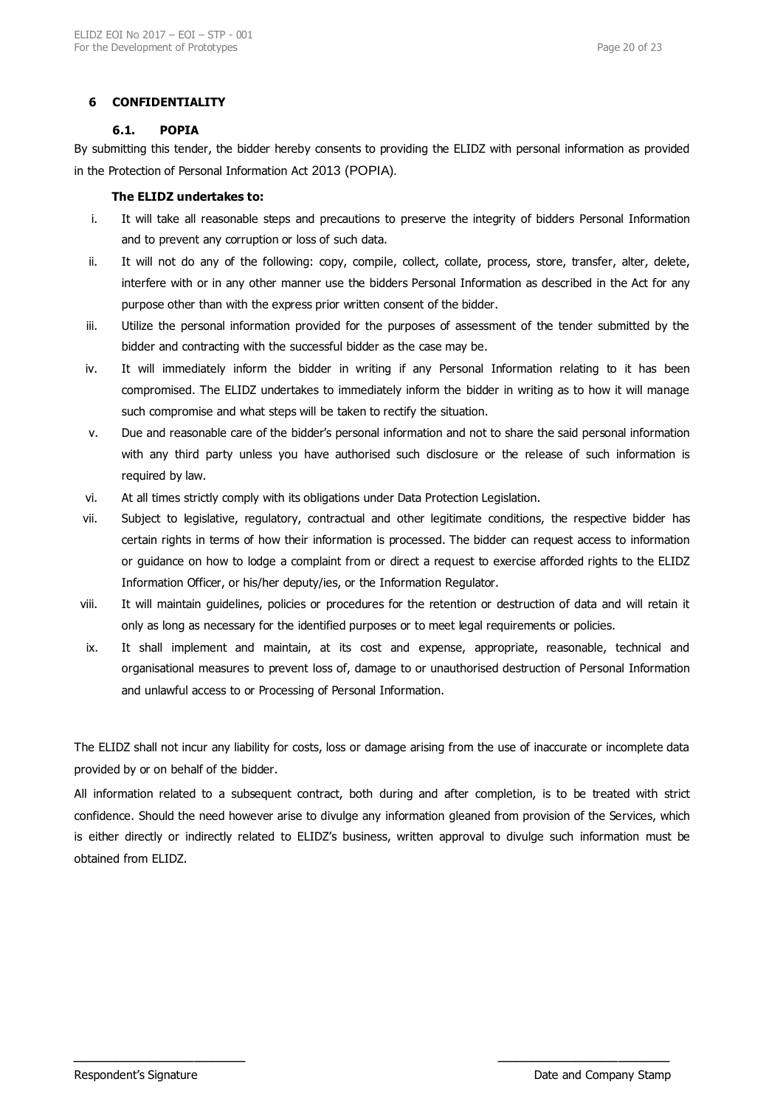## **6 CONFIDENTIALITY**

#### **6.1. POPIA**

By submitting this tender, the bidder hereby consents to providing the ELIDZ with personal information as provided in the Protection of Personal Information Act 2013 (POPIA).

#### **The ELIDZ undertakes to:**

- i. It will take all reasonable steps and precautions to preserve the integrity of bidders Personal Information and to prevent any corruption or loss of such data.
- ii. It will not do any of the following: copy, compile, collect, collate, process, store, transfer, alter, delete, interfere with or in any other manner use the bidders Personal Information as described in the Act for any purpose other than with the express prior written consent of the bidder.
- iii. Utilize the personal information provided for the purposes of assessment of the tender submitted by the bidder and contracting with the successful bidder as the case may be.
- iv. It will immediately inform the bidder in writing if any Personal Information relating to it has been compromised. The ELIDZ undertakes to immediately inform the bidder in writing as to how it will manage such compromise and what steps will be taken to rectify the situation.
- v. Due and reasonable care of the bidder's personal information and not to share the said personal information with any third party unless you have authorised such disclosure or the release of such information is required by law.
- vi. At all times strictly comply with its obligations under Data Protection Legislation.
- vii. Subject to legislative, regulatory, contractual and other legitimate conditions, the respective bidder has certain rights in terms of how their information is processed. The bidder can request access to information or guidance on how to lodge a complaint from or direct a request to exercise afforded rights to the ELIDZ Information Officer, or his/her deputy/ies, or the Information Regulator.
- viii. It will maintain guidelines, policies or procedures for the retention or destruction of data and will retain it only as long as necessary for the identified purposes or to meet legal requirements or policies.
- ix. It shall implement and maintain, at its cost and expense, appropriate, reasonable, technical and organisational measures to prevent loss of, damage to or unauthorised destruction of Personal Information and unlawful access to or Processing of Personal Information.

The ELIDZ shall not incur any liability for costs, loss or damage arising from the use of inaccurate or incomplete data provided by or on behalf of the bidder.

All information related to a subsequent contract, both during and after completion, is to be treated with strict confidence. Should the need however arise to divulge any information gleaned from provision of the Services, which is either directly or indirectly related to ELIDZ's business, written approval to divulge such information must be obtained from ELIDZ.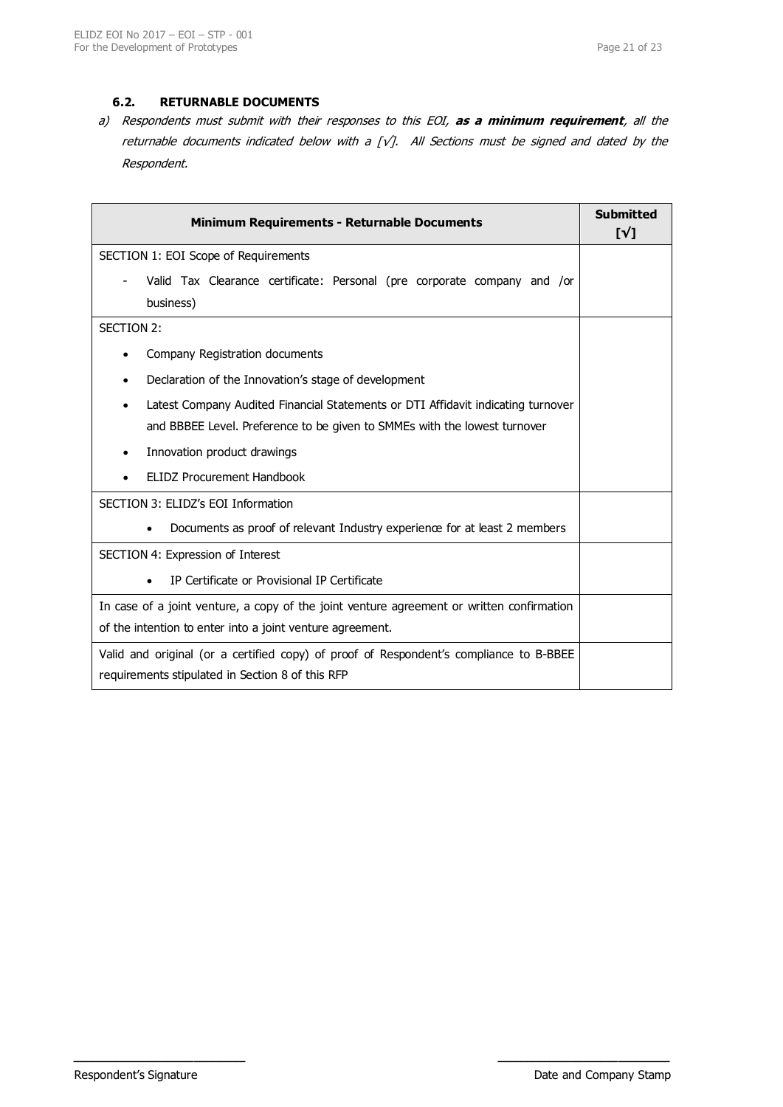# **6.2. RETURNABLE DOCUMENTS**

a) Respondents must submit with their responses to this EOI, **as a minimum requirement**, all the returnable documents indicated below with a [ $\sqrt{j}$ . All Sections must be signed and dated by the Respondent.

| <b>Minimum Requirements - Returnable Documents</b>                                        | <b>Submitted</b><br>$\lceil \sqrt{1} \rceil$ |
|-------------------------------------------------------------------------------------------|----------------------------------------------|
| SECTION 1: EOI Scope of Requirements                                                      |                                              |
| Valid Tax Clearance certificate: Personal (pre corporate company and /or<br>business)     |                                              |
| SECTION 2:                                                                                |                                              |
| Company Registration documents<br>$\bullet$                                               |                                              |
| Declaration of the Innovation's stage of development                                      |                                              |
| Latest Company Audited Financial Statements or DTI Affidavit indicating turnover          |                                              |
| and BBBEE Level. Preference to be given to SMMEs with the lowest turnover                 |                                              |
| Innovation product drawings<br>$\bullet$                                                  |                                              |
| <b>ELIDZ Procurement Handbook</b>                                                         |                                              |
| SECTION 3: ELIDZ's EOI Information                                                        |                                              |
| Documents as proof of relevant Industry experience for at least 2 members<br>$\bullet$    |                                              |
| SECTION 4: Expression of Interest                                                         |                                              |
| IP Certificate or Provisional IP Certificate<br>$\bullet$                                 |                                              |
| In case of a joint venture, a copy of the joint venture agreement or written confirmation |                                              |
| of the intention to enter into a joint venture agreement.                                 |                                              |
| Valid and original (or a certified copy) of proof of Respondent's compliance to B-BBEE    |                                              |
| requirements stipulated in Section 8 of this RFP                                          |                                              |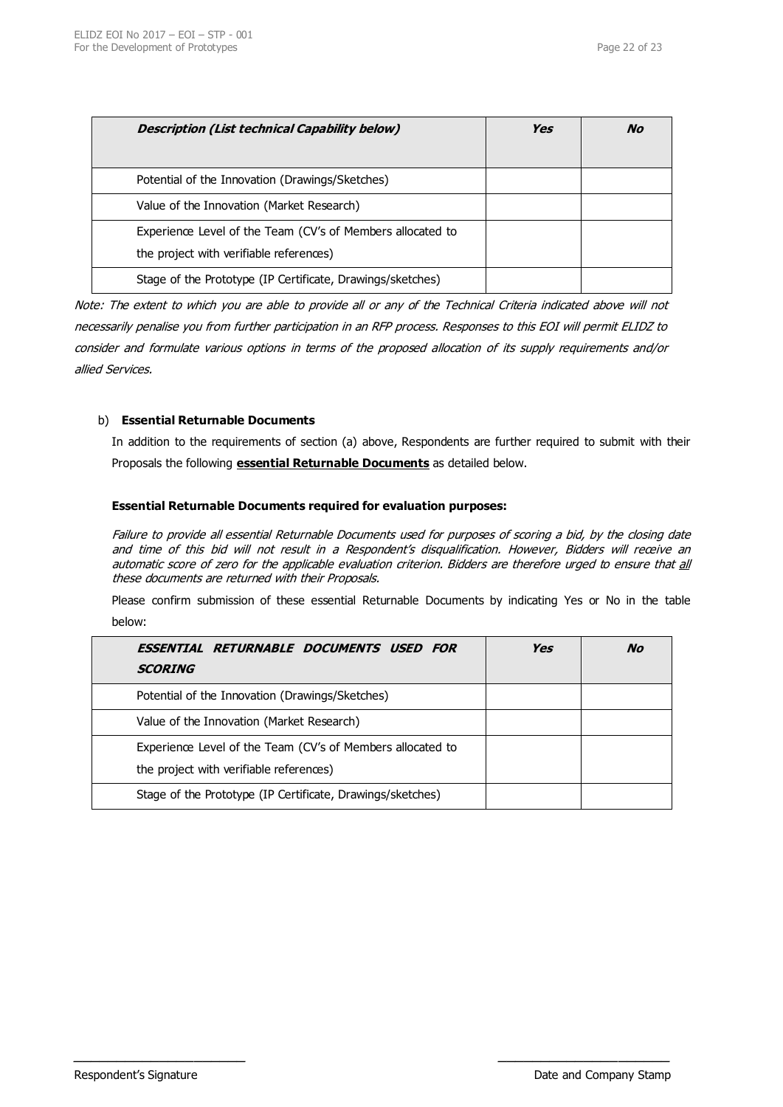| Description (List technical Capability below)                                                         | Yes | No |
|-------------------------------------------------------------------------------------------------------|-----|----|
| Potential of the Innovation (Drawings/Sketches)                                                       |     |    |
| Value of the Innovation (Market Research)                                                             |     |    |
| Experience Level of the Team (CV's of Members allocated to<br>the project with verifiable references) |     |    |
| Stage of the Prototype (IP Certificate, Drawings/sketches)                                            |     |    |

Note: The extent to which you are able to provide all or any of the Technical Criteria indicated above will not necessarily penalise you from further participation in an RFP process. Responses to this EOI will permit ELIDZ to consider and formulate various options in terms of the proposed allocation of its supply requirements and/or allied Services.

## b) **Essential Returnable Documents**

In addition to the requirements of section (a) above, Respondents are further required to submit with their Proposals the following **essential Returnable Documents** as detailed below.

### **Essential Returnable Documents required for evaluation purposes:**

Failure to provide all essential Returnable Documents used for purposes of scoring a bid, by the closing date and time of this bid will not result in a Respondent's disqualification. However, Bidders will receive an automatic score of zero for the applicable evaluation criterion. Bidders are therefore urged to ensure that all these documents are returned with their Proposals.

Please confirm submission of these essential Returnable Documents by indicating Yes or No in the table below:

| ESSENTIAL RETURNABLE DOCUMENTS USED FOR<br><b>SCORING</b>                                             | Yes | No |
|-------------------------------------------------------------------------------------------------------|-----|----|
| Potential of the Innovation (Drawings/Sketches)                                                       |     |    |
| Value of the Innovation (Market Research)                                                             |     |    |
| Experience Level of the Team (CV's of Members allocated to<br>the project with verifiable references) |     |    |
| Stage of the Prototype (IP Certificate, Drawings/sketches)                                            |     |    |